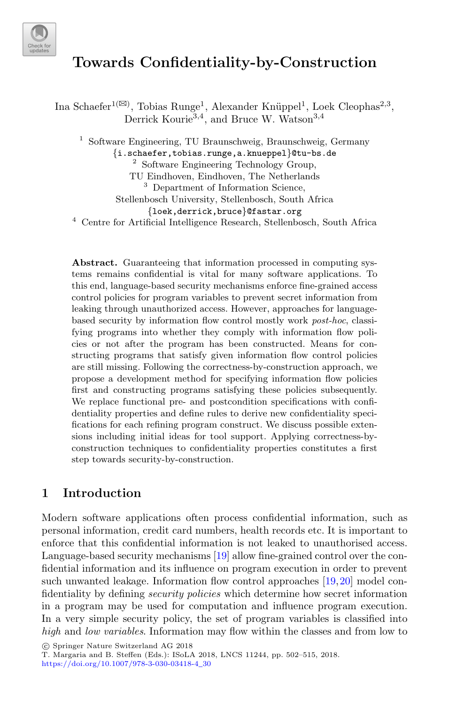

# **Towards Confidentiality-by-Construction**

Ina Schaefer<sup>1( $\boxtimes$ )</sup>, Tobias Runge<sup>1</sup>, Alexander Knüppel<sup>1</sup>, Loek Cleophas<sup>2,3</sup>, Derrick Kourie<sup>3,4</sup>, and Bruce W. Watson<sup>3,4</sup>

<sup>1</sup> Software Engineering, TU Braunschweig, Braunschweig, Germany *{*i.schaefer,tobias.runge,a.knueppel*}*@tu-bs.de <sup>2</sup> Software Engineering Technology Group, TU Eindhoven, Eindhoven, The Netherlands <sup>3</sup> Department of Information Science, Stellenbosch University, Stellenbosch, South Africa *{*loek,derrick,bruce*}*@fastar.org <sup>4</sup> Centre for Artificial Intelligence Research, Stellenbosch, South Africa

Abstract. Guaranteeing that information processed in computing systems remains confidential is vital for many software applications. To this end, language-based security mechanisms enforce fine-grained access control policies for program variables to prevent secret information from leaking through unauthorized access. However, approaches for languagebased security by information flow control mostly work *post-hoc*, classifying programs into whether they comply with information flow policies or not after the program has been constructed. Means for constructing programs that satisfy given information flow control policies are still missing. Following the correctness-by-construction approach, we propose a development method for specifying information flow policies first and constructing programs satisfying these policies subsequently. We replace functional pre- and postcondition specifications with confidentiality properties and define rules to derive new confidentiality specifications for each refining program construct. We discuss possible extensions including initial ideas for tool support. Applying correctness-byconstruction techniques to confidentiality properties constitutes a first step towards security-by-construction.

## **1 Introduction**

Modern software applications often process confidential information, such as personal information, credit card numbers, health records etc. It is important to enforce that this confidential information is not leaked to unauthorised access. Language-based security mechanisms [\[19](#page-13-0)] allow fine-grained control over the confidential information and its influence on program execution in order to prevent such unwanted leakage. Information flow control approaches [\[19,](#page-13-0)[20](#page-13-1)] model confidentiality by defining *security policies* which determine how secret information in a program may be used for computation and influence program execution. In a very simple security policy, the set of program variables is classified into *high* and *low variables*. Information may flow within the classes and from low to

-c Springer Nature Switzerland AG 2018

T. Margaria and B. Steffen (Eds.): ISoLA 2018, LNCS 11244, pp. 502–515, 2018. [https://doi.org/10.1007/978-3-030-03418-4](https://doi.org/10.1007/978-3-030-03418-4_30)\_30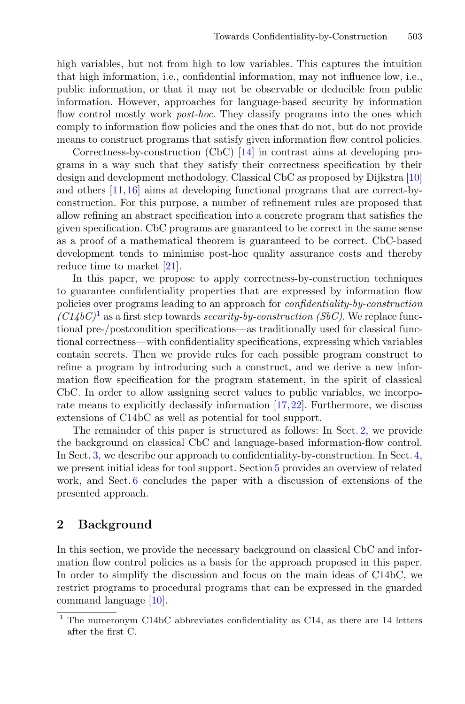high variables, but not from high to low variables. This captures the intuition that high information, i.e., confidential information, may not influence low, i.e., public information, or that it may not be observable or deducible from public information. However, approaches for language-based security by information flow control mostly work *post-hoc*. They classify programs into the ones which comply to information flow policies and the ones that do not, but do not provide means to construct programs that satisfy given information flow control policies.

Correctness-by-construction (CbC) [\[14\]](#page-13-2) in contrast aims at developing programs in a way such that they satisfy their correctness specification by their design and development methodology. Classical CbC as proposed by Dijkstra [\[10\]](#page-13-3) and others [\[11](#page-13-4)[,16](#page-13-5)] aims at developing functional programs that are correct-byconstruction. For this purpose, a number of refinement rules are proposed that allow refining an abstract specification into a concrete program that satisfies the given specification. CbC programs are guaranteed to be correct in the same sense as a proof of a mathematical theorem is guaranteed to be correct. CbC-based development tends to minimise post-hoc quality assurance costs and thereby reduce time to market [\[21\]](#page-13-6).

In this paper, we propose to apply correctness-by-construction techniques to guarantee confidentiality properties that are expressed by information flow policies over programs leading to an approach for *confidentiality-by-construction*  $(C14bC)^{1}$  $(C14bC)^{1}$  $(C14bC)^{1}$  as a first step towards *security-by-construction (SbC)*. We replace functional pre-/postcondition specifications—as traditionally used for classical functional correctness—with confidentiality specifications, expressing which variables contain secrets. Then we provide rules for each possible program construct to refine a program by introducing such a construct, and we derive a new information flow specification for the program statement, in the spirit of classical CbC. In order to allow assigning secret values to public variables, we incorporate means to explicitly declassify information [\[17](#page-13-7)[,22](#page-13-8)]. Furthermore, we discuss extensions of C14bC as well as potential for tool support.

The remainder of this paper is structured as follows: In Sect. [2,](#page-1-1) we provide the background on classical CbC and language-based information-flow control. In Sect. [3,](#page-4-0) we describe our approach to confidentiality-by-construction. In Sect. [4,](#page-9-0) we present initial ideas for tool support. Section [5](#page-10-0) provides an overview of related work, and Sect. [6](#page-11-0) concludes the paper with a discussion of extensions of the presented approach.

## <span id="page-1-1"></span>**2 Background**

In this section, we provide the necessary background on classical CbC and information flow control policies as a basis for the approach proposed in this paper. In order to simplify the discussion and focus on the main ideas of C14bC, we restrict programs to procedural programs that can be expressed in the guarded command language [\[10](#page-13-3)].

<span id="page-1-0"></span><sup>1</sup> The numeronym C14bC abbreviates confidentiality as C14, as there are 14 letters after the first C.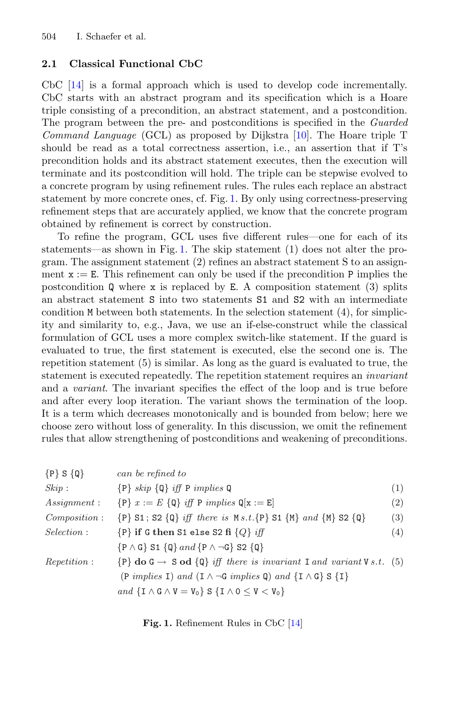#### **2.1 Classical Functional CbC**

CbC [\[14\]](#page-13-2) is a formal approach which is used to develop code incrementally. CbC starts with an abstract program and its specification which is a Hoare triple consisting of a precondition, an abstract statement, and a postcondition. The program between the pre- and postconditions is specified in the *Guarded Command Language* (GCL) as proposed by Dijkstra [\[10\]](#page-13-3). The Hoare triple T should be read as a total correctness assertion, i.e., an assertion that if T's precondition holds and its abstract statement executes, then the execution will terminate and its postcondition will hold. The triple can be stepwise evolved to a concrete program by using refinement rules. The rules each replace an abstract statement by more concrete ones, cf. Fig. [1.](#page-2-0) By only using correctness-preserving refinement steps that are accurately applied, we know that the concrete program obtained by refinement is correct by construction.

To refine the program, GCL uses five different rules—one for each of its statements—as shown in Fig. [1.](#page-2-0) The skip statement (1) does not alter the program. The assignment statement (2) refines an abstract statement S to an assignment  $x := E$ . This refinement can only be used if the precondition P implies the postcondition  $\mathbf Q$  where x is replaced by E. A composition statement (3) splits an abstract statement S into two statements S1 and S2 with an intermediate condition  $M$  between both statements. In the selection statement  $(4)$ , for simplicity and similarity to, e.g., Java, we use an if-else-construct while the classical formulation of GCL uses a more complex switch-like statement. If the guard is evaluated to true, the first statement is executed, else the second one is. The repetition statement (5) is similar. As long as the guard is evaluated to true, the statement is executed repeatedly. The repetition statement requires an *invariant* and a *variant*. The invariant specifies the effect of the loop and is true before and after every loop iteration. The variant shows the termination of the loop. It is a term which decreases monotonically and is bounded from below; here we choose zero without loss of generality. In this discussion, we omit the refinement rules that allow strengthening of postconditions and weakening of preconditions.

| $\{P\} S \{Q\}$     | can be refined to                                                                                 |     |
|---------------------|---------------------------------------------------------------------------------------------------|-----|
| $skip:$ :           | $\{P\}$ skip $\{Q\}$ iff P implies Q                                                              | (1) |
| Assignment:         | $\{P\} x := E \{Q\}$ iff P implies $Q[x := E]$                                                    | (2) |
| Composition:        | ${P} S1; S2 {Q} iff there is Ms.t.{P} S1 {M} and {M} S2 {Q}$                                      | (3) |
| <i>Selection</i> :  | $\{P\}$ if G then S1 else S2 fi $\{Q\}$ iff                                                       | (4) |
|                     | $\{P \wedge G\}$ S1 $\{Q\}$ and $\{P \wedge \neg G\}$ S2 $\{Q\}$                                  |     |
| <i>Repetition</i> : | $\{P\}$ do G $\rightarrow$ S od $\{\mathbb{Q}\}\$ iff there is invariant I and variant V s.t. (5) |     |
|                     | (P implies I) and $(I \wedge \neg G$ implies Q) and $\{I \wedge G\}$ S $\{I\}$                    |     |
|                     | and $\{I \wedge G \wedge V = V_0\}$ S $\{I \wedge O \leq V < V_0\}$                               |     |

<span id="page-2-0"></span>**Fig. 1.** Refinement Rules in CbC [\[14\]](#page-13-2)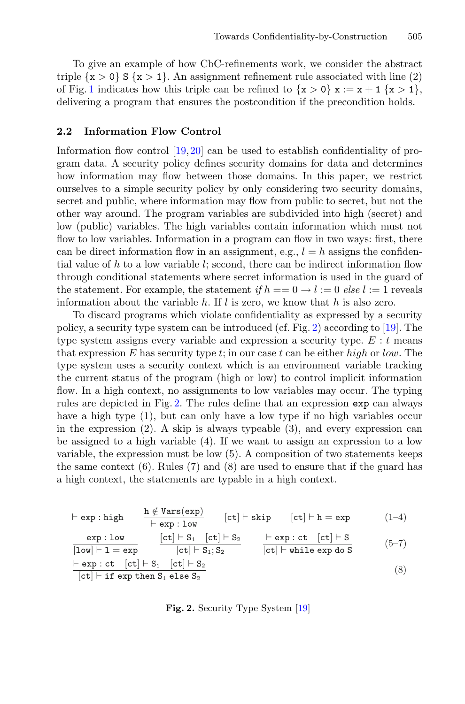To give an example of how CbC-refinements work, we consider the abstract triple  $\{x > 0\}$  S  $\{x > 1\}$ . An assignment refinement rule associated with line (2) of Fig. [1](#page-2-0) indicates how this triple can be refined to  $\{x > 0\}$   $x := x + 1 \{x > 1\}$ , delivering a program that ensures the postcondition if the precondition holds.

#### <span id="page-3-1"></span>**2.2 Information Flow Control**

Information flow control [\[19](#page-13-0),[20\]](#page-13-1) can be used to establish confidentiality of program data. A security policy defines security domains for data and determines how information may flow between those domains. In this paper, we restrict ourselves to a simple security policy by only considering two security domains, secret and public, where information may flow from public to secret, but not the other way around. The program variables are subdivided into high (secret) and low (public) variables. The high variables contain information which must not flow to low variables. Information in a program can flow in two ways: first, there can be direct information flow in an assignment, e.g.,  $l = h$  assigns the confidential value of  $h$  to a low variable  $l$ ; second, there can be indirect information flow through conditional statements where secret information is used in the guard of the statement. For example, the statement *if*  $h == 0 \rightarrow l := 0$  *else*  $l := 1$  reveals information about the variable h. If l is zero, we know that h is also zero.

To discard programs which violate confidentiality as expressed by a security policy, a security type system can be introduced (cf. Fig. [2\)](#page-3-0) according to [\[19](#page-13-0)]. The type system assigns every variable and expression a security type.  $E: t$  means that expression  $E$  has security type t; in our case t can be either high or low. The type system uses a security context which is an environment variable tracking the current status of the program (high or low) to control implicit information flow. In a high context, no assignments to low variables may occur. The typing rules are depicted in Fig. [2.](#page-3-0) The rules define that an expression exp can always have a high type  $(1)$ , but can only have a low type if no high variables occur in the expression (2). A skip is always typeable (3), and every expression can be assigned to a high variable (4). If we want to assign an expression to a low variable, the expression must be low (5). A composition of two statements keeps the same context  $(6)$ . Rules  $(7)$  and  $(8)$  are used to ensure that if the guard has a high context, the statements are typable in a high context.

$$
\vdash \texttt{exp} : \texttt{high} \qquad \frac{\texttt{h} \notin \texttt{Vars}(\texttt{exp})}{\vdash \texttt{exp} : \texttt{low}} \qquad [\texttt{ct}] \vdash \texttt{skip} \qquad [\texttt{ct}] \vdash \texttt{h} = \texttt{exp} \qquad (1-4)
$$

| exp: low               | [ct] $\vdash S_1$ [ct] $\vdash S_2$ | $\vdash$ exp: ct [ct] $\vdash S$ |
|------------------------|-------------------------------------|----------------------------------|
| [low] $\vdash$ 1 = exp | [ct] $\vdash S_1; S_2$              | $\vdash$ triple exp do S         |

$$
\frac{\vdash \exp : \text{ct} \quad [\text{ct}] \vdash S_1 \quad [\text{ct}] \vdash S_2}{[\text{ct}] \vdash \text{if } \exp \text{ then } S_1 \text{ else } S_2} \tag{8}
$$

<span id="page-3-0"></span>**Fig. 2.** Security Type System [\[19\]](#page-13-0)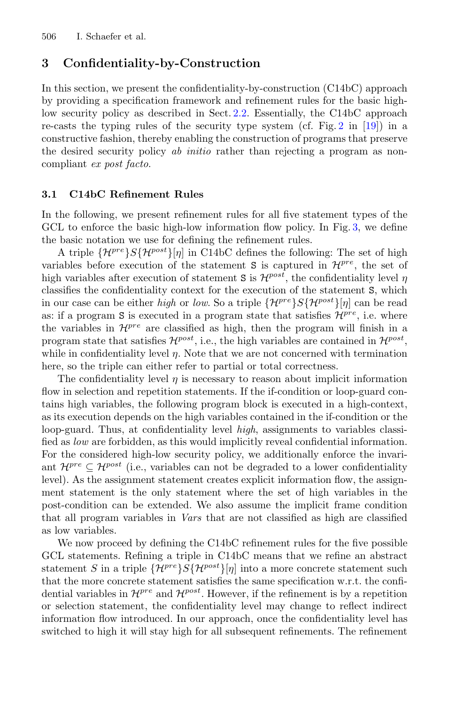## <span id="page-4-0"></span>**3 Confidentiality-by-Construction**

In this section, we present the confidentiality-by-construction (C14bC) approach by providing a specification framework and refinement rules for the basic highlow security policy as described in Sect. [2.2.](#page-3-1) Essentially, the C14bC approach re-casts the typing rules of the security type system (cf. Fig. [2](#page-3-0) in [\[19\]](#page-13-0)) in a constructive fashion, thereby enabling the construction of programs that preserve the desired security policy *ab initio* rather than rejecting a program as noncompliant *ex post facto*.

#### **3.1 C14bC Refinement Rules**

In the following, we present refinement rules for all five statement types of the GCL to enforce the basic high-low information flow policy. In Fig. [3,](#page-5-0) we define the basic notation we use for defining the refinement rules.

A triple  $\{\mathcal{H}^{pre}\}\ S\{\mathcal{H}^{post}\}[n]$  in C14bC defines the following: The set of high variables before execution of the statement S is captured in  $\mathcal{H}^{pre}$ , the set of high variables after execution of statement S is  $\mathcal{H}^{post}$ , the confidentiality level  $\eta$ classifies the confidentiality context for the execution of the statement S, which in our case can be either *high* or *low*. So a triple  $\{\mathcal{H}^{pre}\}\ S\{\mathcal{H}^{post}\}\ [\eta]$  can be read as: if a program S is executed in a program state that satisfies  $\mathcal{H}^{pre}$ , i.e. where the variables in  $\mathcal{H}^{pre}$  are classified as high, then the program will finish in a program state that satisfies  $\mathcal{H}^{post}$ , i.e., the high variables are contained in  $\mathcal{H}^{post}$ , while in confidentiality level  $\eta$ . Note that we are not concerned with termination here, so the triple can either refer to partial or total correctness.

The confidentiality level  $\eta$  is necessary to reason about implicit information flow in selection and repetition statements. If the if-condition or loop-guard contains high variables, the following program block is executed in a high-context, as its execution depends on the high variables contained in the if-condition or the loop-guard. Thus, at confidentiality level *high*, assignments to variables classified as *low* are forbidden, as this would implicitly reveal confidential information. For the considered high-low security policy, we additionally enforce the invariant  $\mathcal{H}^{pre} \subseteq \mathcal{H}^{post}$  (i.e., variables can not be degraded to a lower confidentiality level). As the assignment statement creates explicit information flow, the assignment statement is the only statement where the set of high variables in the post-condition can be extended. We also assume the implicit frame condition that all program variables in *Vars* that are not classified as high are classified as low variables.

We now proceed by defining the C14bC refinement rules for the five possible GCL statements. Refining a triple in C14bC means that we refine an abstract statement S in a triple  $\{\mathcal{H}^{pre}\}\$   $S\{\mathcal{H}^{post}\}\$  into a more concrete statement such that the more concrete statement satisfies the same specification w.r.t. the confidential variables in  $\mathcal{H}^{pre}$  and  $\mathcal{H}^{post}$ . However, if the refinement is by a repetition or selection statement, the confidentiality level may change to reflect indirect information flow introduced. In our approach, once the confidentiality level has switched to high it will stay high for all subsequent refinements. The refinement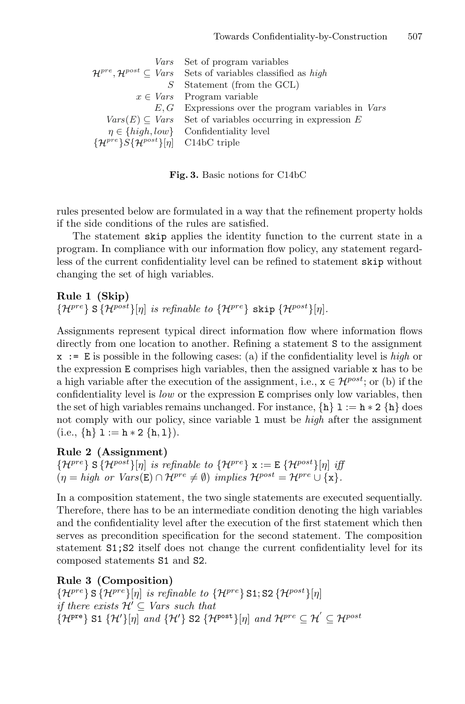$$
Vars \t\tSet of program variables\n\mathcal{H}^{pre}, \mathcal{H}^{post} ⊆ Vars \t\tSetes of variables classified as high\nS \t\tStatement (from the GCL)\n\nx ∈ Vars Program variable\nE, G Expressions over the program variables in Vars\n\n
$$
Vars(E) ⊆ Vars \t\tSet of variables occurring in expression E\n\nη ∈ {high, low} \t\tConfidentiality level\n{ $\mathcal{H}^{pre}$ } S{ $\mathcal{H}^{post}$ } [η] C14bC triple
$$
$$

<span id="page-5-0"></span>**Fig. 3.** Basic notions for C14bC

rules presented below are formulated in a way that the refinement property holds if the side conditions of the rules are satisfied.

The statement skip applies the identity function to the current state in a program. In compliance with our information flow policy, any statement regardless of the current confidentiality level can be refined to statement skip without changing the set of high variables.

#### **Rule 1 (Skip)**

 $\{\mathcal{H}^{pre}\}\$  S  $\{\mathcal{H}^{post}\}[\eta]$  *is refinable to*  $\{\mathcal{H}^{pre}\}\$  skip  $\{\mathcal{H}^{post}\}[\eta]$ *.* 

Assignments represent typical direct information flow where information flows directly from one location to another. Refining a statement S to the assignment x := E is possible in the following cases: (a) if the confidentiality level is *high* or the expression E comprises high variables, then the assigned variable x has to be a high variable after the execution of the assignment, i.e.,  $x \in \mathcal{H}^{post}$ ; or (b) if the confidentiality level is *low* or the expression E comprises only low variables, then the set of high variables remains unchanged. For instance,  $\{h\}$  1 := h  $*$  2  $\{h\}$  does not comply with our policy, since variable l must be *high* after the assignment  $(i.e., \{h\} 1 := h * 2 \{h, 1\}).$ 

### **Rule 2 (Assignment)**

 $\{\mathcal{H}^{pre}\}\$  S  $\{\mathcal{H}^{post}\}\$  *n is refinable to*  $\{\mathcal{H}^{pre}\}\$  x := E  $\{\mathcal{H}^{post}\}\$  *n iff*  $(n = high \text{ or } Vars(\mathbf{E}) \cap \mathcal{H}^{pre} \neq \emptyset) \text{ implies } \mathcal{H}^{post} = \mathcal{H}^{pre} \cup \{\mathbf{x}\}.$ 

In a composition statement, the two single statements are executed sequentially. Therefore, there has to be an intermediate condition denoting the high variables and the confidentiality level after the execution of the first statement which then serves as precondition specification for the second statement. The composition statement S1;S2 itself does not change the current confidentiality level for its composed statements S1 and S2.

# **Rule 3 (Composition)**

 $\{\mathcal{H}^{pre}\}\$  S  $\{\mathcal{H}^{pre}\}\$ [η] *is refinable to*  $\{\mathcal{H}^{pre}\}\$  S1; S2  $\{\mathcal{H}^{post}\}\$ [η] *if there exists*  $\mathcal{H}' \subseteq Vars$  *such that*  $\{\mathcal{H}^{\text{pre}}\}$  S1  $\{\mathcal{H}'\}[\eta]$  *and*  $\{\mathcal{H}'\}$  S2  $\{\mathcal{H}^{\text{post}}\}[\eta]$  *and*  $\mathcal{H}^{pre} \subseteq \mathcal{H}' \subseteq \mathcal{H}^{post}$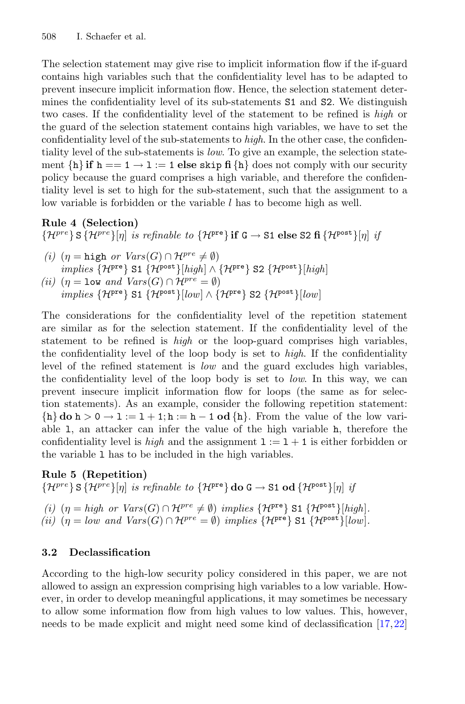The selection statement may give rise to implicit information flow if the if-guard contains high variables such that the confidentiality level has to be adapted to prevent insecure implicit information flow. Hence, the selection statement determines the confidentiality level of its sub-statements S1 and S2. We distinguish two cases. If the confidentiality level of the statement to be refined is *high* or the guard of the selection statement contains high variables, we have to set the confidentiality level of the sub-statements to *high*. In the other case, the confidentiality level of the sub-statements is *low*. To give an example, the selection statement  $\{h\}$  **if**  $h == 1 \rightarrow l := 1$  **else** skip **fi**  $\{h\}$  does not comply with our security policy because the guard comprises a high variable, and therefore the confidentiality level is set to high for the sub-statement, such that the assignment to a low variable is forbidden or the variable l has to become high as well.

### **Rule 4 (Selection)**

 $\{\mathcal{H}^{pre}\}\$  S  $\{\mathcal{H}^{pre}\}\$  *is refinable to*  $\{\mathcal{H}^{pre}\}\$  **if**  $G \to S1$  **else** S2 **fi**  $\{\mathcal{H}^{post}\}\$ *n if* 

*(i)*  $(n = \text{high or } Vars(G) \cap \mathcal{H}^{pre} \neq \emptyset)$ *implies* {H<sup>pre</sup>} S1 {H<sup>post</sup>}[*high*] ∧ {H<sup>pre</sup>} S2 {H<sup>post</sup>}[*high*] *(ii)*  $(\eta = 1$ ow *and Vars*(*G*)  $\cap$   $\mathcal{H}^{pre} = \emptyset$ ) *implies* {H<sup>pre</sup>} S1 {H<sup>post</sup>}[*low*] ∧ {H<sup>pre</sup>} S2 {H<sup>post</sup>}[*low*]

The considerations for the confidentiality level of the repetition statement are similar as for the selection statement. If the confidentiality level of the statement to be refined is *high* or the loop-guard comprises high variables, the confidentiality level of the loop body is set to *high*. If the confidentiality level of the refined statement is *low* and the guard excludes high variables, the confidentiality level of the loop body is set to *low*. In this way, we can prevent insecure implicit information flow for loops (the same as for selection statements). As an example, consider the following repetition statement:  $\{h\}$  do  $h > 0 \rightarrow 1 := 1 + 1$ ;  $h := h - 1$  od  $\{h\}$ . From the value of the low variable l, an attacker can infer the value of the high variable h, therefore the confidentiality level is *high* and the assignment  $1 := 1 + 1$  is either forbidden or the variable l has to be included in the high variables.

## **Rule 5 (Repetition)**

 ${\mathcal{H}}^{pre}$  S  ${\mathcal{H}}^{pre}$ [*n*] *is refinable to*  ${\mathcal{H}}^{pre}$  **do** G  $\rightarrow$  S1 **od**  ${\mathcal{H}}^{post}$ [*n*] *if* 

(i) 
$$
(\eta = high \text{ or } Vars(G) \cap \mathcal{H}^{pre} \neq \emptyset)
$$
 implies  $\{\mathcal{H}^{pre}\}$  S1  $\{\mathcal{H}^{post}\}[high].$   
(ii)  $(\eta = low \text{ and } Vars(G) \cap \mathcal{H}^{pre} = \emptyset)$  implies  $\{\mathcal{H}^{pre}\}$  S1  $\{\mathcal{H}^{post}\}[low]$ 

(ii) 
$$
(\eta = low \text{ and } Vars(G) \cap \mathcal{H}^{pre} = \emptyset)
$$
 implies  $\{\mathcal{H}^{pre}\}\ S1 \ \{\mathcal{H}^{post}\}[low].$ 

## **3.2 Declassification**

According to the high-low security policy considered in this paper, we are not allowed to assign an expression comprising high variables to a low variable. However, in order to develop meaningful applications, it may sometimes be necessary to allow some information flow from high values to low values. This, however, needs to be made explicit and might need some kind of declassification [\[17](#page-13-7)[,22](#page-13-8)]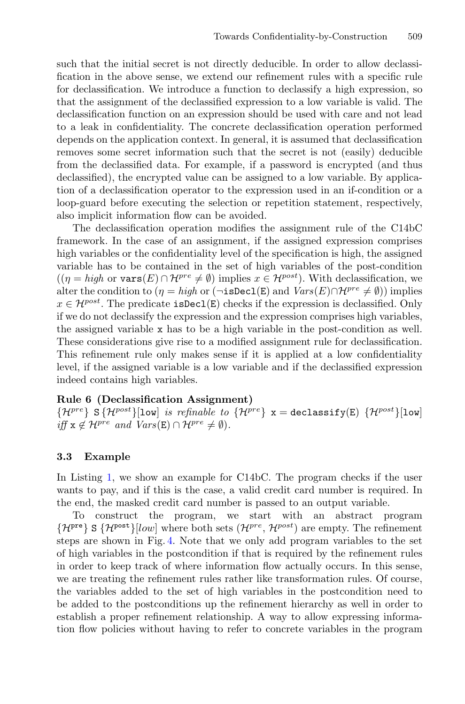such that the initial secret is not directly deducible. In order to allow declassification in the above sense, we extend our refinement rules with a specific rule for declassification. We introduce a function to declassify a high expression, so that the assignment of the declassified expression to a low variable is valid. The declassification function on an expression should be used with care and not lead to a leak in confidentiality. The concrete declassification operation performed depends on the application context. In general, it is assumed that declassification removes some secret information such that the secret is not (easily) deducible from the declassified data. For example, if a password is encrypted (and thus declassified), the encrypted value can be assigned to a low variable. By application of a declassification operator to the expression used in an if-condition or a loop-guard before executing the selection or repetition statement, respectively, also implicit information flow can be avoided.

The declassification operation modifies the assignment rule of the C14bC framework. In the case of an assignment, if the assigned expression comprises high variables or the confidentiality level of the specification is high, the assigned variable has to be contained in the set of high variables of the post-condition  $((\eta = high \text{ or } \text{vars}(E) \cap \mathcal{H}^{pre} \neq \emptyset)$  implies  $x \in \mathcal{H}^{post}$ ). With declassification, we alter the condition to  $(\eta = high \text{ or } (\neg \text{isDec1(E)} \text{ and } Vars(E) \cap \mathcal{H}^{pre} \neq \emptyset))$  implies  $x \in \mathcal{H}^{post}$ . The predicate **isDecl**(E) checks if the expression is declassified. Only if we do not declassify the expression and the expression comprises high variables, the assigned variable x has to be a high variable in the post-condition as well. These considerations give rise to a modified assignment rule for declassification. This refinement rule only makes sense if it is applied at a low confidentiality level, if the assigned variable is a low variable and if the declassified expression indeed contains high variables.

#### **Rule 6 (Declassification Assignment)**

 ${H^{pre}}$  S { $H^{post}$ ][low] *is refinable to* { $H^{pre}$ } x = declassify(E) { $H^{post}$ ][low]  $iff \mathbf{x} \notin \mathcal{H}^{pre} \text{ and } Vars(\mathbf{E}) \cap \mathcal{H}^{pre} \neq \emptyset$ .

#### **3.3 Example**

In Listing [1,](#page-8-0) we show an example for C14bC. The program checks if the user wants to pay, and if this is the case, a valid credit card number is required. In the end, the masked credit card number is passed to an output variable.

To construct the program, we start with an abstract program  $\{\mathcal{H}^{\text{pre}}\}$  S  $\{\mathcal{H}^{\text{post}}\}[low]$  where both sets  $(\mathcal{H}^{pre}, \mathcal{H}^{post})$  are empty. The refinement steps are shown in Fig. [4.](#page-9-1) Note that we only add program variables to the set of high variables in the postcondition if that is required by the refinement rules in order to keep track of where information flow actually occurs. In this sense, we are treating the refinement rules rather like transformation rules. Of course, the variables added to the set of high variables in the postcondition need to be added to the postconditions up the refinement hierarchy as well in order to establish a proper refinement relationship. A way to allow expressing information flow policies without having to refer to concrete variables in the program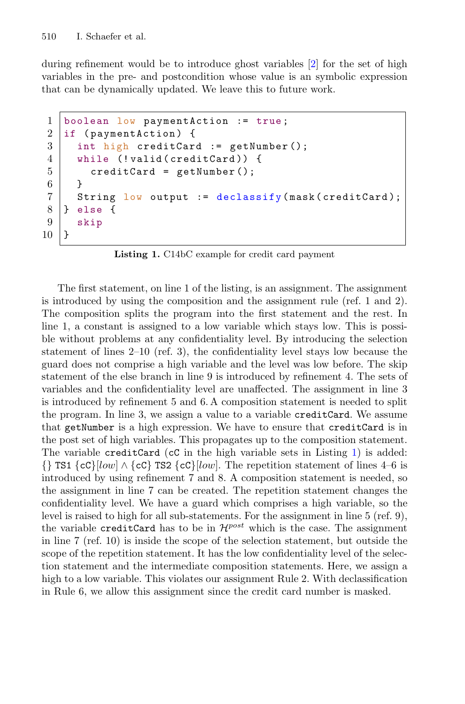during refinement would be to introduce ghost variables [\[2\]](#page-12-0) for the set of high variables in the pre- and postcondition whose value is an symbolic expression that can be dynamically updated. We leave this to future work.

```
1 boolean low paymentAction := true;<br>2 if (paymentAction) {
    if (paymentAction) {
3 int high creditCard := getNumber();
4 | while (!valid(creditCard)) {
 5 creditCard = getNumber();
\begin{array}{c|c} 6 & \rightarrow \\ 7 & \text{S} \end{array}String low output := declassify (mask (creditCard);
8 } else {
9 skip
10 | }
```
**Listing 1.** C14bC example for credit card payment

The first statement, on line 1 of the listing, is an assignment. The assignment is introduced by using the composition and the assignment rule (ref. 1 and 2). The composition splits the program into the first statement and the rest. In line 1, a constant is assigned to a low variable which stays low. This is possible without problems at any confidentiality level. By introducing the selection statement of lines 2–10 (ref. 3), the confidentiality level stays low because the guard does not comprise a high variable and the level was low before. The skip statement of the else branch in line 9 is introduced by refinement 4. The sets of variables and the confidentiality level are unaffected. The assignment in line 3 is introduced by refinement 5 and 6. A composition statement is needed to split the program. In line 3, we assign a value to a variable creditCard. We assume that getNumber is a high expression. We have to ensure that creditCard is in the post set of high variables. This propagates up to the composition statement. The variable creditCard (cC in the high variable sets in Listing [1\)](#page-8-0) is added:  ${\mathcal{S}}$  TS1  ${cc}$ [low]  $\wedge$   ${cc}$  TS2  ${cc}$ [low]. The repetition statement of lines 4–6 is introduced by using refinement 7 and 8. A composition statement is needed, so the assignment in line 7 can be created. The repetition statement changes the confidentiality level. We have a guard which comprises a high variable, so the level is raised to high for all sub-statements. For the assignment in line 5 (ref. 9), the variable creditCard has to be in  $\mathcal{H}^{post}$  which is the case. The assignment in line 7 (ref. 10) is inside the scope of the selection statement, but outside the scope of the repetition statement. It has the low confidentiality level of the selection statement and the intermediate composition statements. Here, we assign a high to a low variable. This violates our assignment Rule 2. With declassification in Rule 6, we allow this assignment since the credit card number is masked.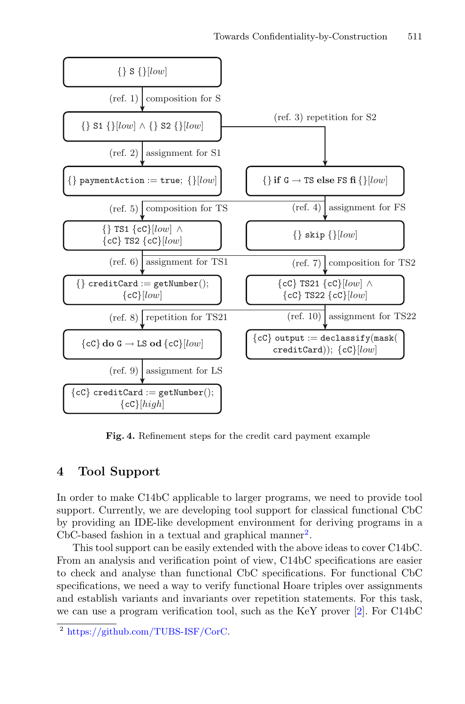

<span id="page-9-1"></span>**Fig. 4.** Refinement steps for the credit card payment example

# <span id="page-9-0"></span>**4 Tool Support**

In order to make C14bC applicable to larger programs, we need to provide tool support. Currently, we are developing tool support for classical functional CbC by providing an IDE-like development environment for deriving programs in a CbC-based fashion in a textual and graphical manner<sup>[2](#page-9-2)</sup>.

This tool support can be easily extended with the above ideas to cover C14bC. From an analysis and verification point of view, C14bC specifications are easier to check and analyse than functional CbC specifications. For functional CbC specifications, we need a way to verify functional Hoare triples over assignments and establish variants and invariants over repetition statements. For this task, we can use a program verification tool, such as the KeY prover [\[2](#page-12-0)]. For C14bC

<span id="page-9-2"></span><sup>2</sup> [https://github.com/TUBS-ISF/CorC.](https://github.com/TUBS-ISF/CorC)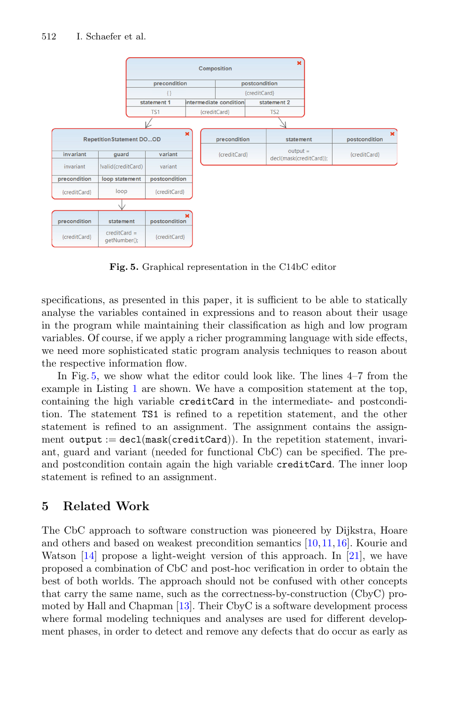

<span id="page-10-1"></span>**Fig. 5.** Graphical representation in the C14bC editor

specifications, as presented in this paper, it is sufficient to be able to statically analyse the variables contained in expressions and to reason about their usage in the program while maintaining their classification as high and low program variables. Of course, if we apply a richer programming language with side effects, we need more sophisticated static program analysis techniques to reason about the respective information flow.

In Fig. [5,](#page-10-1) we show what the editor could look like. The lines 4–7 from the example in Listing [1](#page-8-0) are shown. We have a composition statement at the top, containing the high variable creditCard in the intermediate- and postcondition. The statement TS1 is refined to a repetition statement, and the other statement is refined to an assignment. The assignment contains the assignment output :=  $\text{dec1}(\text{mask}(\text{creditCard})).$  In the repetition statement, invariant, guard and variant (needed for functional CbC) can be specified. The preand postcondition contain again the high variable creditCard. The inner loop statement is refined to an assignment.

# <span id="page-10-0"></span>**5 Related Work**

The CbC approach to software construction was pioneered by Dijkstra, Hoare and others and based on weakest precondition semantics [\[10,](#page-13-3)[11](#page-13-4)[,16](#page-13-5)]. Kourie and Watson  $[14]$  $[14]$  propose a light-weight version of this approach. In [\[21\]](#page-13-6), we have proposed a combination of CbC and post-hoc verification in order to obtain the best of both worlds. The approach should not be confused with other concepts that carry the same name, such as the correctness-by-construction (CbyC) promoted by Hall and Chapman [\[13](#page-13-9)]. Their CbyC is a software development process where formal modeling techniques and analyses are used for different development phases, in order to detect and remove any defects that do occur as early as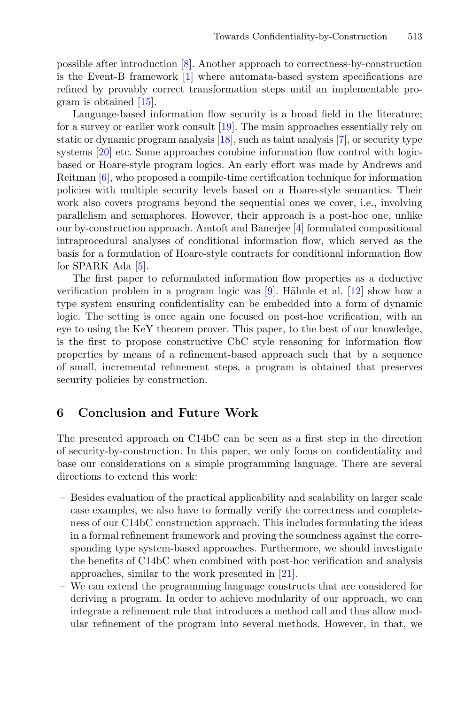possible after introduction [\[8\]](#page-13-10). Another approach to correctness-by-construction is the Event-B framework [\[1](#page-12-1)] where automata-based system specifications are refined by provably correct transformation steps until an implementable program is obtained [\[15\]](#page-13-11).

Language-based information flow security is a broad field in the literature; for a survey or earlier work consult [\[19](#page-13-0)]. The main approaches essentially rely on static or dynamic program analysis [\[18\]](#page-13-12), such as taint analysis [\[7](#page-13-13)], or security type systems [\[20](#page-13-1)] etc. Some approaches combine information flow control with logicbased or Hoare-style program logics. An early effort was made by Andrews and Reitman [\[6\]](#page-12-2), who proposed a compile-time certification technique for information policies with multiple security levels based on a Hoare-style semantics. Their work also covers programs beyond the sequential ones we cover, i.e., involving parallelism and semaphores. However, their approach is a post-hoc one, unlike our by-construction approach. Amtoft and Banerjee [\[4\]](#page-12-3) formulated compositional intraprocedural analyses of conditional information flow, which served as the basis for a formulation of Hoare-style contracts for conditional information flow for SPARK Ada [\[5](#page-12-4)].

The first paper to reformulated information flow properties as a deductive verification problem in a program logic was  $[9]$ . Hähnle et al.  $[12]$  $[12]$  show how a type system ensuring confidentiality can be embedded into a form of dynamic logic. The setting is once again one focused on post-hoc verification, with an eye to using the KeY theorem prover. This paper, to the best of our knowledge, is the first to propose constructive CbC style reasoning for information flow properties by means of a refinement-based approach such that by a sequence of small, incremental refinement steps, a program is obtained that preserves security policies by construction.

## <span id="page-11-0"></span>**6 Conclusion and Future Work**

The presented approach on C14bC can be seen as a first step in the direction of security-by-construction. In this paper, we only focus on confidentiality and base our considerations on a simple programming language. There are several directions to extend this work:

- Besides evaluation of the practical applicability and scalability on larger scale case examples, we also have to formally verify the correctness and completeness of our C14bC construction approach. This includes formulating the ideas in a formal refinement framework and proving the soundness against the corresponding type system-based approaches. Furthermore, we should investigate the benefits of C14bC when combined with post-hoc verification and analysis approaches, similar to the work presented in [\[21](#page-13-6)].
- We can extend the programming language constructs that are considered for deriving a program. In order to achieve modularity of our approach, we can integrate a refinement rule that introduces a method call and thus allow modular refinement of the program into several methods. However, in that, we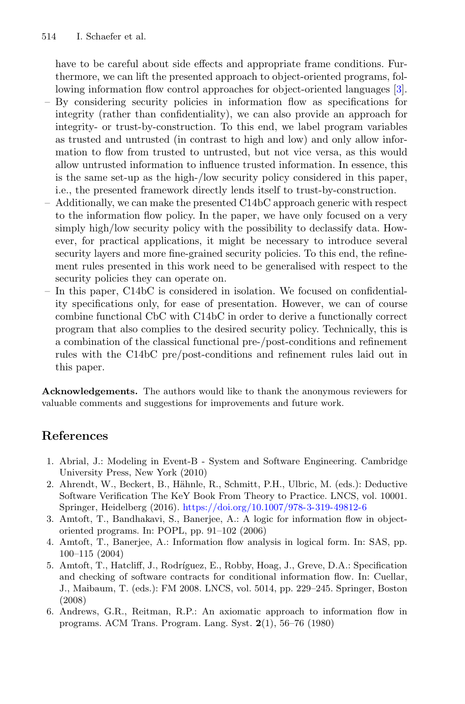have to be careful about side effects and appropriate frame conditions. Furthermore, we can lift the presented approach to object-oriented programs, following information flow control approaches for object-oriented languages [\[3\]](#page-12-5).

- By considering security policies in information flow as specifications for integrity (rather than confidentiality), we can also provide an approach for integrity- or trust-by-construction. To this end, we label program variables as trusted and untrusted (in contrast to high and low) and only allow information to flow from trusted to untrusted, but not vice versa, as this would allow untrusted information to influence trusted information. In essence, this is the same set-up as the high-/low security policy considered in this paper, i.e., the presented framework directly lends itself to trust-by-construction.
- Additionally, we can make the presented C14bC approach generic with respect to the information flow policy. In the paper, we have only focused on a very simply high/low security policy with the possibility to declassify data. However, for practical applications, it might be necessary to introduce several security layers and more fine-grained security policies. To this end, the refinement rules presented in this work need to be generalised with respect to the security policies they can operate on.
- In this paper, C14bC is considered in isolation. We focused on confidentiality specifications only, for ease of presentation. However, we can of course combine functional CbC with C14bC in order to derive a functionally correct program that also complies to the desired security policy. Technically, this is a combination of the classical functional pre-/post-conditions and refinement rules with the C14bC pre/post-conditions and refinement rules laid out in this paper.

**Acknowledgements.** The authors would like to thank the anonymous reviewers for valuable comments and suggestions for improvements and future work.

# **References**

- <span id="page-12-1"></span>1. Abrial, J.: Modeling in Event-B - System and Software Engineering. Cambridge University Press, New York (2010)
- <span id="page-12-0"></span>2. Ahrendt, W., Beckert, B., Hähnle, R., Schmitt, P.H., Ulbric, M. (eds.): Deductive Software Verification The KeY Book From Theory to Practice. LNCS, vol. 10001. Springer, Heidelberg (2016). <https://doi.org/10.1007/978-3-319-49812-6>
- <span id="page-12-5"></span>3. Amtoft, T., Bandhakavi, S., Banerjee, A.: A logic for information flow in objectoriented programs. In: POPL, pp. 91–102 (2006)
- <span id="page-12-3"></span>4. Amtoft, T., Banerjee, A.: Information flow analysis in logical form. In: SAS, pp. 100–115 (2004)
- <span id="page-12-4"></span>5. Amtoft, T., Hatcliff, J., Rodríguez, E., Robby, Hoag, J., Greve, D.A.: Specification and checking of software contracts for conditional information flow. In: Cuellar, J., Maibaum, T. (eds.): FM 2008. LNCS, vol. 5014, pp. 229–245. Springer, Boston (2008)
- <span id="page-12-2"></span>6. Andrews, G.R., Reitman, R.P.: An axiomatic approach to information flow in programs. ACM Trans. Program. Lang. Syst. **2**(1), 56–76 (1980)